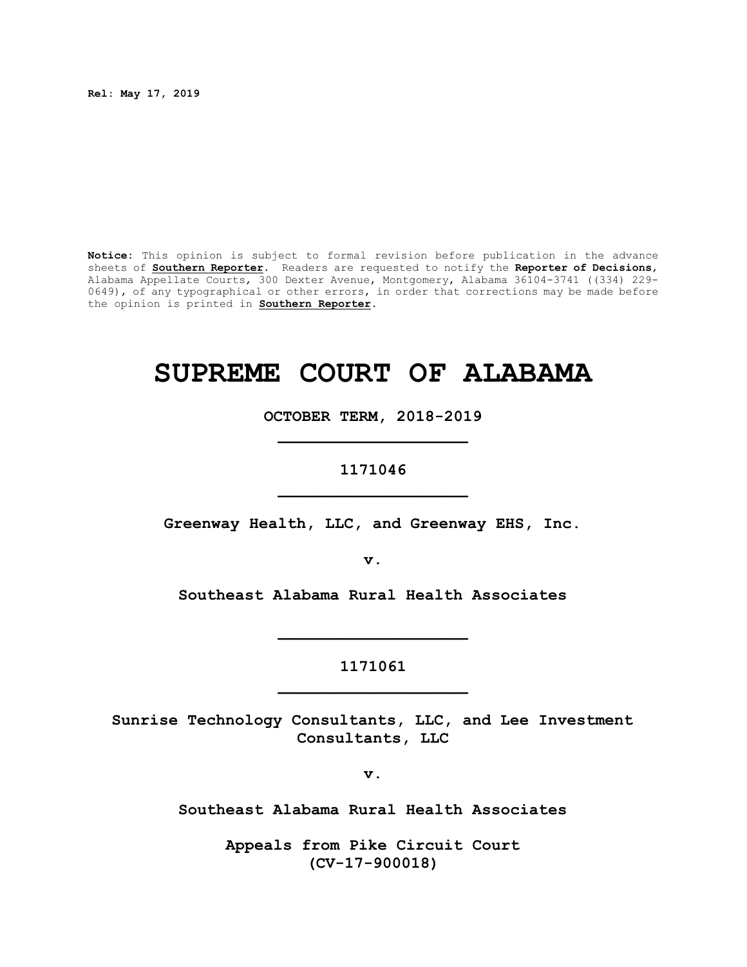**Rel: May 17, 2019**

**Notice:** This opinion is subject to formal revision before publication in the advance sheets of **Southern Reporter**. Readers are requested to notify the **Reporter of Decisions**, Alabama Appellate Courts, 300 Dexter Avenue, Montgomery, Alabama 36104-3741 ((334) 229- 0649), of any typographical or other errors, in order that corrections may be made before the opinion is printed in **Southern Reporter**.

# **SUPREME COURT OF ALABAMA**

**OCTOBER TERM, 2018-2019 \_\_\_\_\_\_\_\_\_\_\_\_\_\_\_\_\_\_\_\_**

**1171046**

**\_\_\_\_\_\_\_\_\_\_\_\_\_\_\_\_\_\_\_\_**

**Greenway Health, LLC, and Greenway EHS, Inc.**

**v.**

**Southeast Alabama Rural Health Associates**

**1171061 \_\_\_\_\_\_\_\_\_\_\_\_\_\_\_\_\_\_\_\_**

**\_\_\_\_\_\_\_\_\_\_\_\_\_\_\_\_\_\_\_\_**

**Sunrise Technology Consultants, LLC, and Lee Investment Consultants, LLC**

**v.**

**Southeast Alabama Rural Health Associates**

**Appeals from Pike Circuit Court (CV-17-900018)**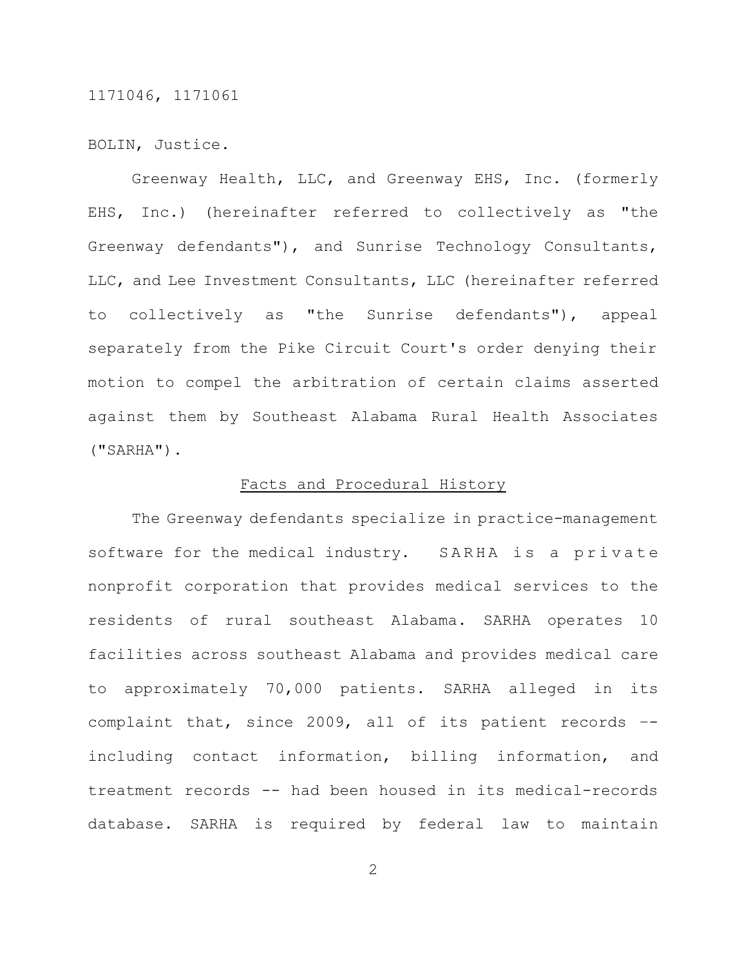BOLIN, Justice.

Greenway Health, LLC, and Greenway EHS, Inc. (formerly EHS, Inc.) (hereinafter referred to collectively as "the Greenway defendants"), and Sunrise Technology Consultants, LLC, and Lee Investment Consultants, LLC (hereinafter referred to collectively as "the Sunrise defendants"), appeal separately from the Pike Circuit Court's order denying their motion to compel the arbitration of certain claims asserted against them by Southeast Alabama Rural Health Associates ("SARHA").

#### Facts and Procedural History

The Greenway defendants specialize in practice-management software for the medical industry. SARHA is a private nonprofit corporation that provides medical services to the residents of rural southeast Alabama. SARHA operates 10 facilities across southeast Alabama and provides medical care to approximately 70,000 patients. SARHA alleged in its complaint that, since 2009, all of its patient records – including contact information, billing information, and treatment records -- had been housed in its medical-records database. SARHA is required by federal law to maintain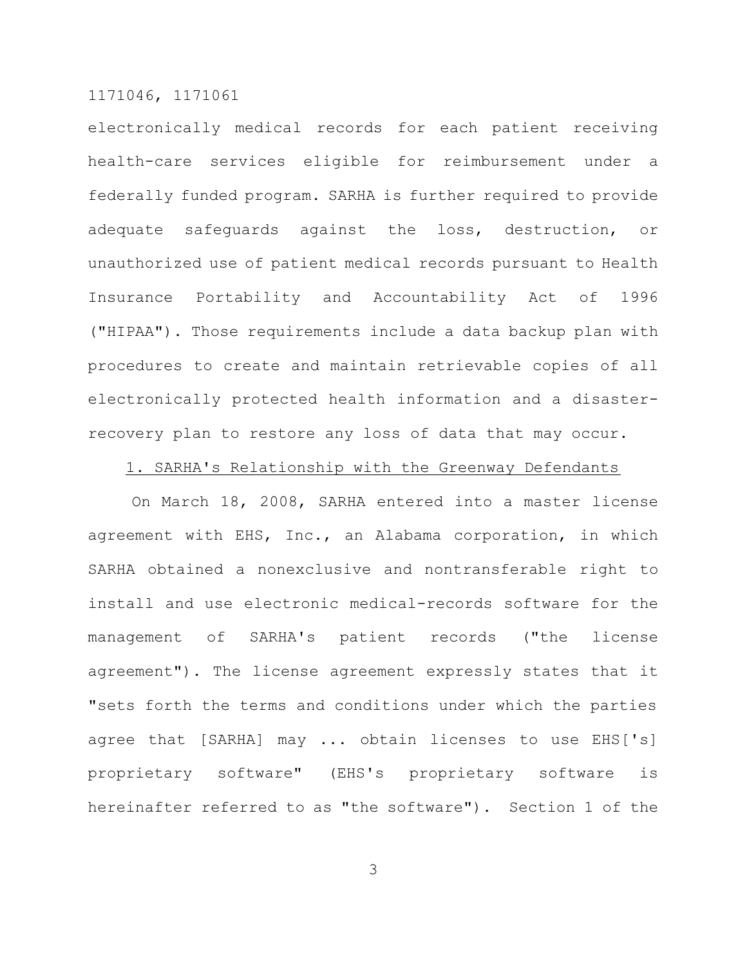electronically medical records for each patient receiving health-care services eligible for reimbursement under a federally funded program. SARHA is further required to provide adequate safeguards against the loss, destruction, or unauthorized use of patient medical records pursuant to Health Insurance Portability and Accountability Act of 1996 ("HIPAA"). Those requirements include a data backup plan with procedures to create and maintain retrievable copies of all electronically protected health information and a disasterrecovery plan to restore any loss of data that may occur.

# 1. SARHA's Relationship with the Greenway Defendants

On March 18, 2008, SARHA entered into a master license agreement with EHS, Inc., an Alabama corporation, in which SARHA obtained a nonexclusive and nontransferable right to install and use electronic medical-records software for the management of SARHA's patient records ("the license agreement"). The license agreement expressly states that it "sets forth the terms and conditions under which the parties agree that [SARHA] may ... obtain licenses to use EHS['s] proprietary software" (EHS's proprietary software is hereinafter referred to as "the software"). Section 1 of the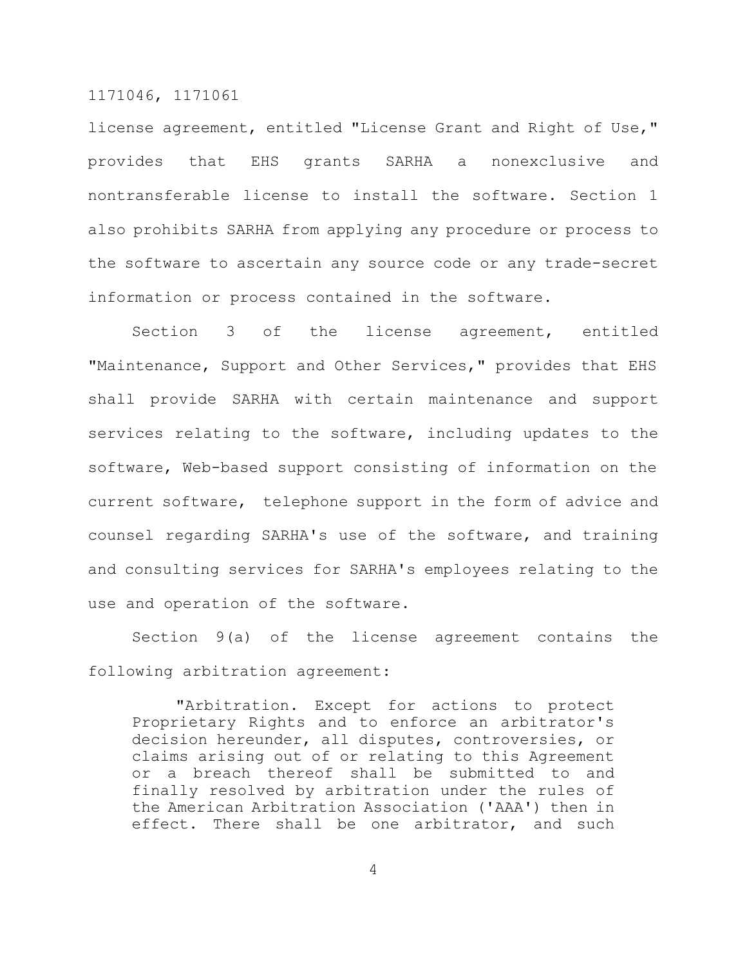license agreement, entitled "License Grant and Right of Use," provides that EHS grants SARHA a nonexclusive and nontransferable license to install the software. Section 1 also prohibits SARHA from applying any procedure or process to the software to ascertain any source code or any trade-secret information or process contained in the software.

Section 3 of the license agreement, entitled "Maintenance, Support and Other Services," provides that EHS shall provide SARHA with certain maintenance and support services relating to the software, including updates to the software, Web-based support consisting of information on the current software, telephone support in the form of advice and counsel regarding SARHA's use of the software, and training and consulting services for SARHA's employees relating to the use and operation of the software.

Section 9(a) of the license agreement contains the following arbitration agreement:

"Arbitration. Except for actions to protect Proprietary Rights and to enforce an arbitrator's decision hereunder, all disputes, controversies, or claims arising out of or relating to this Agreement or a breach thereof shall be submitted to and finally resolved by arbitration under the rules of the American Arbitration Association ('AAA') then in effect. There shall be one arbitrator, and such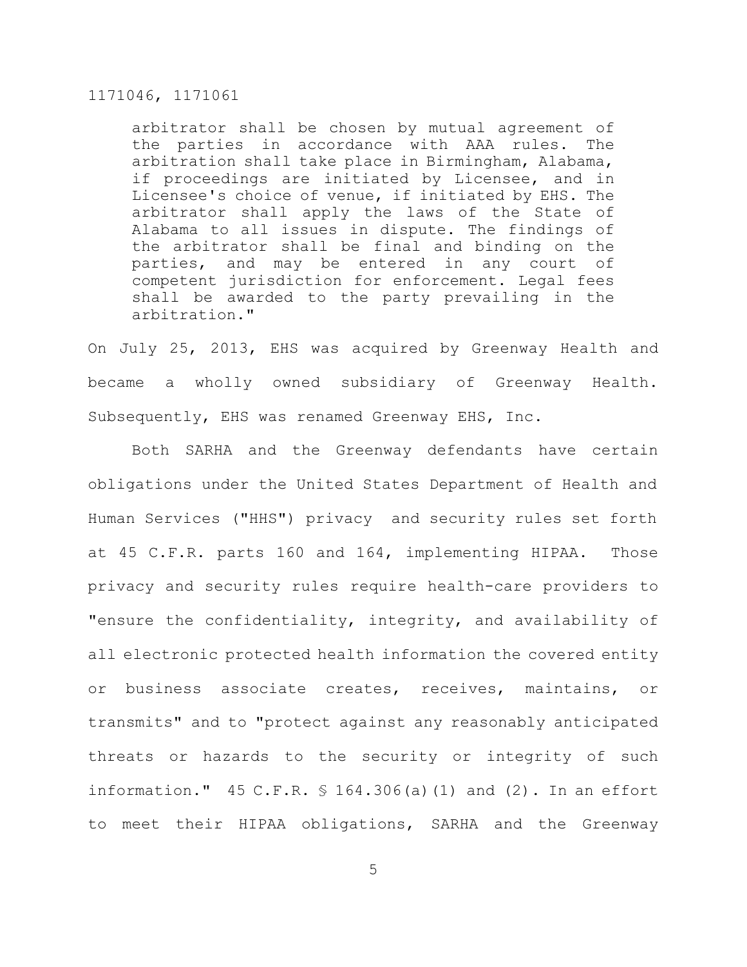arbitrator shall be chosen by mutual agreement of the parties in accordance with AAA rules. The arbitration shall take place in Birmingham, Alabama, if proceedings are initiated by Licensee, and in Licensee's choice of venue, if initiated by EHS. The arbitrator shall apply the laws of the State of Alabama to all issues in dispute. The findings of the arbitrator shall be final and binding on the parties, and may be entered in any court of competent jurisdiction for enforcement. Legal fees shall be awarded to the party prevailing in the arbitration."

On July 25, 2013, EHS was acquired by Greenway Health and became a wholly owned subsidiary of Greenway Health. Subsequently, EHS was renamed Greenway EHS, Inc.

Both SARHA and the Greenway defendants have certain obligations under the United States Department of Health and Human Services ("HHS") privacy and security rules set forth at 45 C.F.R. parts 160 and 164, implementing HIPAA. Those privacy and security rules require health-care providers to "ensure the confidentiality, integrity, and availability of all electronic protected health information the covered entity or business associate creates, receives, maintains, or transmits" and to "protect against any reasonably anticipated threats or hazards to the security or integrity of such information." 45 C.F.R. § 164.306(a)(1) and (2). In an effort to meet their HIPAA obligations, SARHA and the Greenway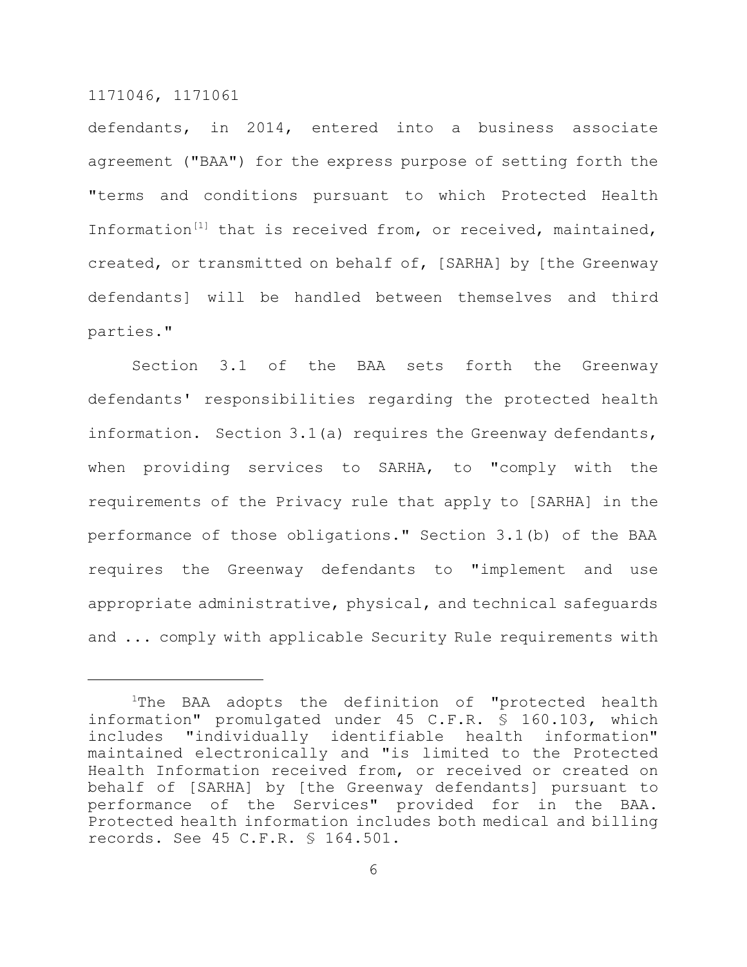defendants, in 2014, entered into a business associate agreement ("BAA") for the express purpose of setting forth the "terms and conditions pursuant to which Protected Health Information<sup>[1]</sup> that is received from, or received, maintained, created, or transmitted on behalf of, [SARHA] by [the Greenway defendants] will be handled between themselves and third parties."

Section 3.1 of the BAA sets forth the Greenway defendants' responsibilities regarding the protected health information. Section 3.1(a) requires the Greenway defendants, when providing services to SARHA, to "comply with the requirements of the Privacy rule that apply to [SARHA] in the performance of those obligations." Section 3.1(b) of the BAA requires the Greenway defendants to "implement and use appropriate administrative, physical, and technical safeguards and ... comply with applicable Security Rule requirements with

<sup>&</sup>lt;sup>1</sup>The BAA adopts the definition of "protected health information" promulgated under 45 C.F.R. § 160.103, which includes "individually identifiable health information" maintained electronically and "is limited to the Protected Health Information received from, or received or created on behalf of [SARHA] by [the Greenway defendants] pursuant to performance of the Services" provided for in the BAA. Protected health information includes both medical and billing records. See 45 C.F.R. § 164.501.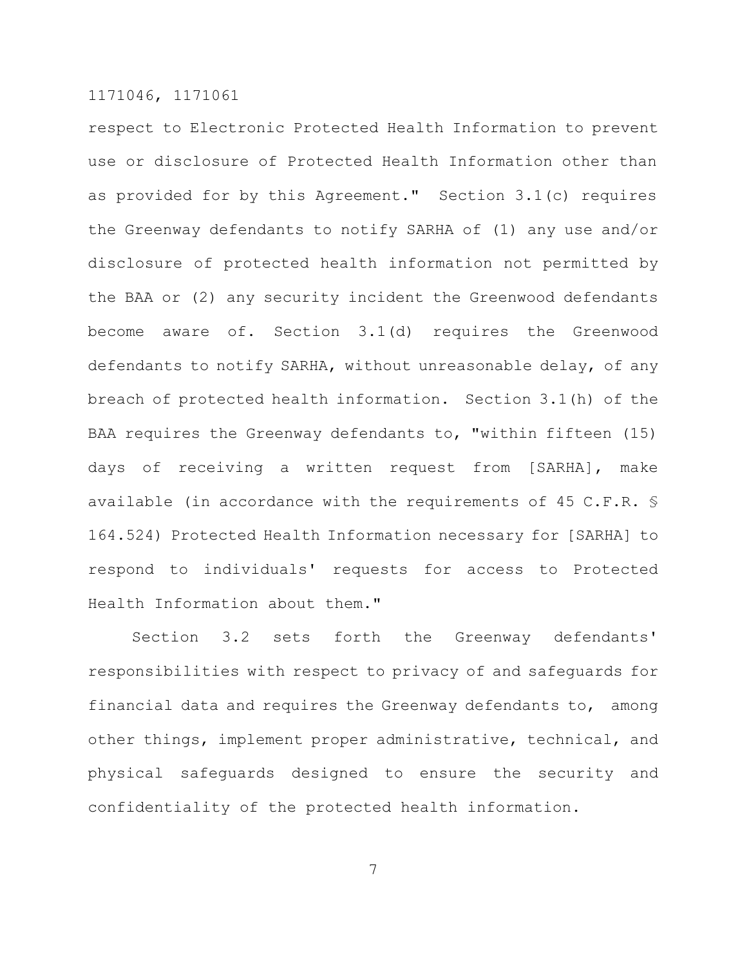respect to Electronic Protected Health Information to prevent use or disclosure of Protected Health Information other than as provided for by this Agreement." Section 3.1(c) requires the Greenway defendants to notify SARHA of (1) any use and/or disclosure of protected health information not permitted by the BAA or (2) any security incident the Greenwood defendants become aware of. Section 3.1(d) requires the Greenwood defendants to notify SARHA, without unreasonable delay, of any breach of protected health information. Section 3.1(h) of the BAA requires the Greenway defendants to, "within fifteen (15) days of receiving a written request from [SARHA], make available (in accordance with the requirements of 45 C.F.R. § 164.524) Protected Health Information necessary for [SARHA] to respond to individuals' requests for access to Protected Health Information about them."

Section 3.2 sets forth the Greenway defendants' responsibilities with respect to privacy of and safeguards for financial data and requires the Greenway defendants to, among other things, implement proper administrative, technical, and physical safeguards designed to ensure the security and confidentiality of the protected health information.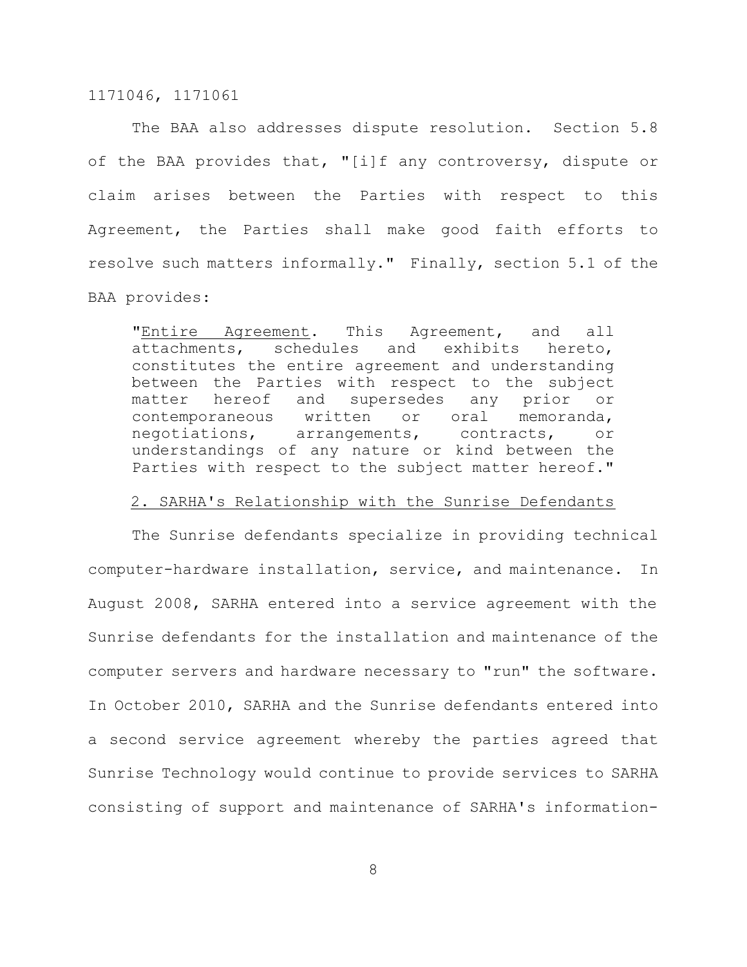The BAA also addresses dispute resolution. Section 5.8 of the BAA provides that, "[i]f any controversy, dispute or claim arises between the Parties with respect to this Agreement, the Parties shall make good faith efforts to resolve such matters informally." Finally, section 5.1 of the BAA provides:

"Entire Agreement. This Agreement, and all attachments, schedules and exhibits hereto, constitutes the entire agreement and understanding between the Parties with respect to the subject matter hereof and supersedes any prior or contemporaneous written or oral memoranda, negotiations, arrangements, contracts, or understandings of any nature or kind between the Parties with respect to the subject matter hereof."

#### 2. SARHA's Relationship with the Sunrise Defendants

The Sunrise defendants specialize in providing technical computer-hardware installation, service, and maintenance. In August 2008, SARHA entered into a service agreement with the Sunrise defendants for the installation and maintenance of the computer servers and hardware necessary to "run" the software. In October 2010, SARHA and the Sunrise defendants entered into a second service agreement whereby the parties agreed that Sunrise Technology would continue to provide services to SARHA consisting of support and maintenance of SARHA's information-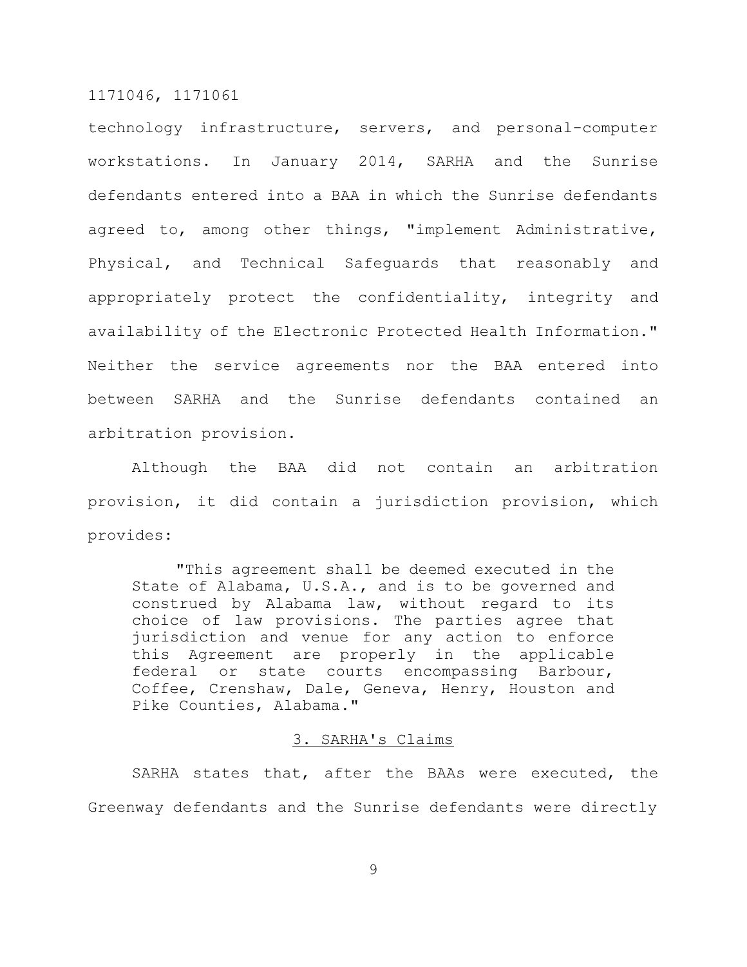technology infrastructure, servers, and personal-computer workstations. In January 2014, SARHA and the Sunrise defendants entered into a BAA in which the Sunrise defendants agreed to, among other things, "implement Administrative, Physical, and Technical Safeguards that reasonably and appropriately protect the confidentiality, integrity and availability of the Electronic Protected Health Information." Neither the service agreements nor the BAA entered into between SARHA and the Sunrise defendants contained an arbitration provision.

Although the BAA did not contain an arbitration provision, it did contain a jurisdiction provision, which provides:

"This agreement shall be deemed executed in the State of Alabama, U.S.A., and is to be governed and construed by Alabama law, without regard to its choice of law provisions. The parties agree that jurisdiction and venue for any action to enforce this Agreement are properly in the applicable federal or state courts encompassing Barbour, Coffee, Crenshaw, Dale, Geneva, Henry, Houston and Pike Counties, Alabama."

## 3. SARHA's Claims

SARHA states that, after the BAAs were executed, the Greenway defendants and the Sunrise defendants were directly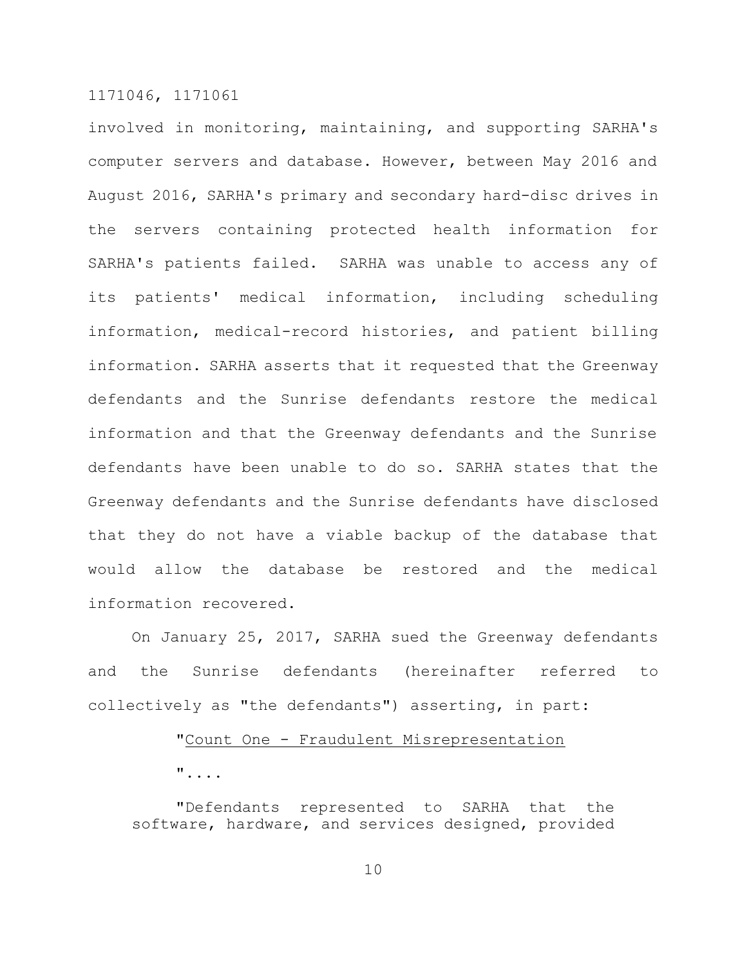involved in monitoring, maintaining, and supporting SARHA's computer servers and database. However, between May 2016 and August 2016, SARHA's primary and secondary hard-disc drives in the servers containing protected health information for SARHA's patients failed. SARHA was unable to access any of its patients' medical information, including scheduling information, medical-record histories, and patient billing information. SARHA asserts that it requested that the Greenway defendants and the Sunrise defendants restore the medical information and that the Greenway defendants and the Sunrise defendants have been unable to do so. SARHA states that the Greenway defendants and the Sunrise defendants have disclosed that they do not have a viable backup of the database that would allow the database be restored and the medical information recovered.

On January 25, 2017, SARHA sued the Greenway defendants and the Sunrise defendants (hereinafter referred to collectively as "the defendants") asserting, in part:

## "Count One - Fraudulent Misrepresentation

"....

"Defendants represented to SARHA that the software, hardware, and services designed, provided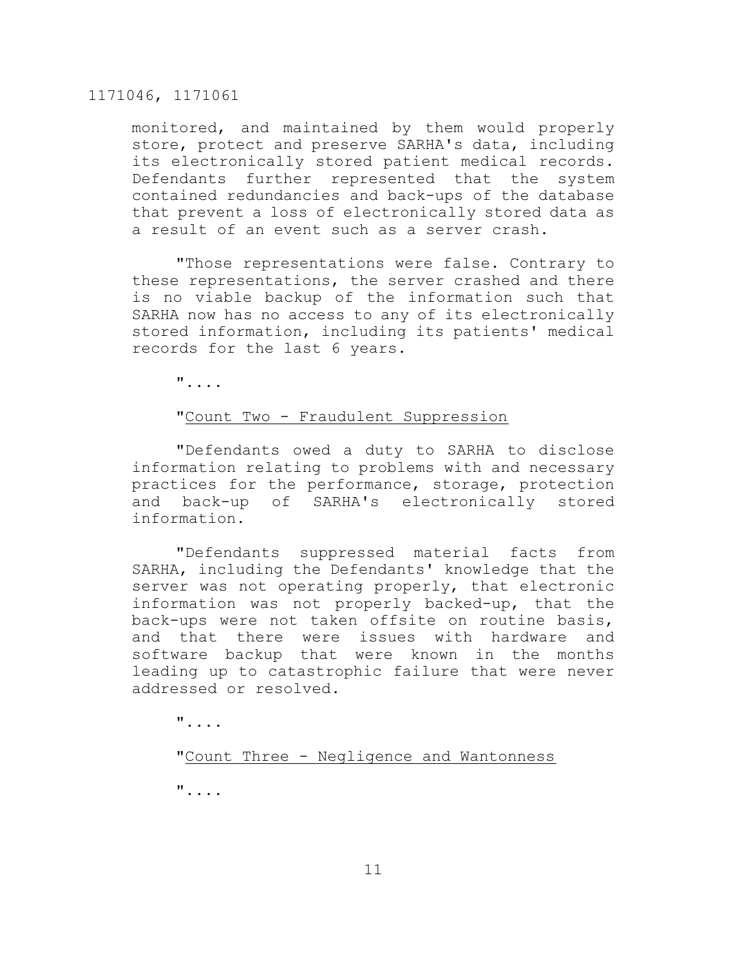monitored, and maintained by them would properly store, protect and preserve SARHA's data, including its electronically stored patient medical records. Defendants further represented that the system contained redundancies and back-ups of the database that prevent a loss of electronically stored data as a result of an event such as a server crash.

"Those representations were false. Contrary to these representations, the server crashed and there is no viable backup of the information such that SARHA now has no access to any of its electronically stored information, including its patients' medical records for the last 6 years.

"....

# "Count Two - Fraudulent Suppression

"Defendants owed a duty to SARHA to disclose information relating to problems with and necessary practices for the performance, storage, protection and back-up of SARHA's electronically stored information.

"Defendants suppressed material facts from SARHA, including the Defendants' knowledge that the server was not operating properly, that electronic information was not properly backed-up, that the back-ups were not taken offsite on routine basis, and that there were issues with hardware and software backup that were known in the months leading up to catastrophic failure that were never addressed or resolved.

"....

"Count Three - Negligence and Wantonness

"....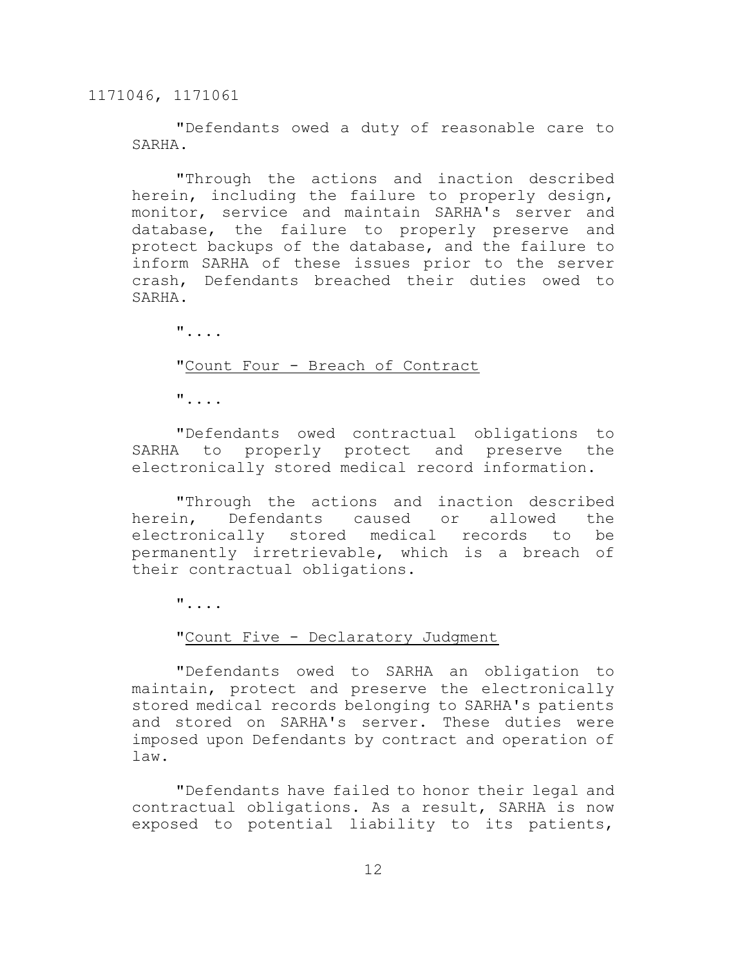"Defendants owed a duty of reasonable care to SARHA.

"Through the actions and inaction described herein, including the failure to properly design, monitor, service and maintain SARHA's server and database, the failure to properly preserve and protect backups of the database, and the failure to inform SARHA of these issues prior to the server crash, Defendants breached their duties owed to SARHA.

"....

#### "Count Four - Breach of Contract

"....

"Defendants owed contractual obligations to SARHA to properly protect and preserve the electronically stored medical record information.

"Through the actions and inaction described herein, Defendants caused or allowed the electronically stored medical records to be permanently irretrievable, which is a breach of their contractual obligations.

"....

# "Count Five - Declaratory Judgment

"Defendants owed to SARHA an obligation to maintain, protect and preserve the electronically stored medical records belonging to SARHA's patients and stored on SARHA's server. These duties were imposed upon Defendants by contract and operation of law.

"Defendants have failed to honor their legal and contractual obligations. As a result, SARHA is now exposed to potential liability to its patients,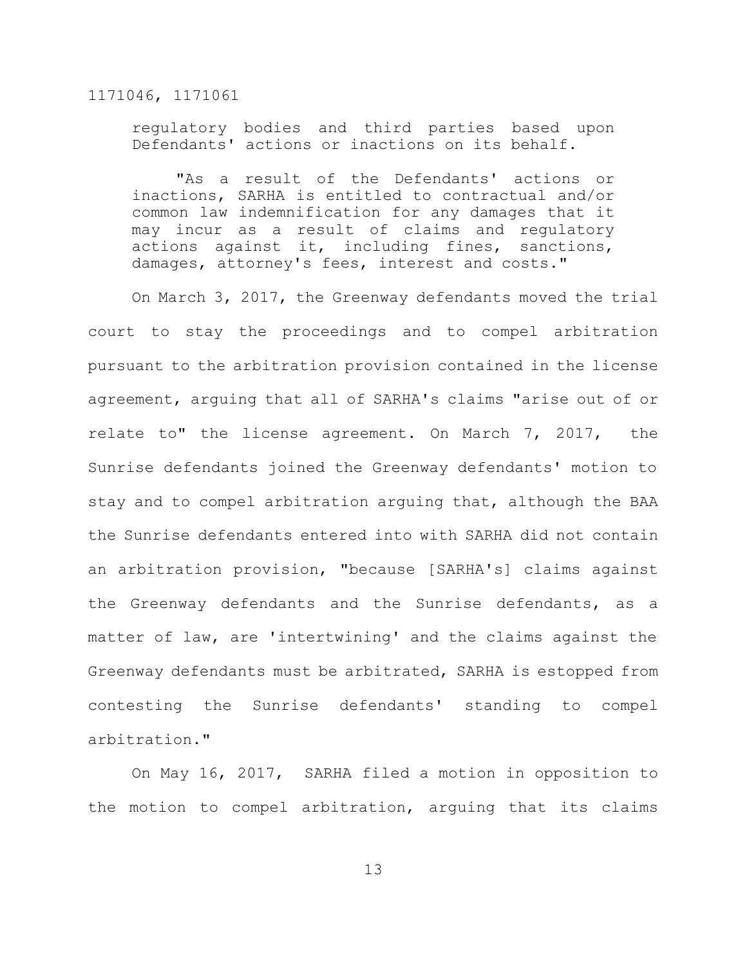regulatory bodies and third parties based upon Defendants' actions or inactions on its behalf.

"As a result of the Defendants' actions or inactions, SARHA is entitled to contractual and/or common law indemnification for any damages that it may incur as a result of claims and regulatory actions against it, including fines, sanctions, damages, attorney's fees, interest and costs."

On March 3, 2017, the Greenway defendants moved the trial court to stay the proceedings and to compel arbitration pursuant to the arbitration provision contained in the license agreement, arguing that all of SARHA's claims "arise out of or relate to" the license agreement. On March 7, 2017, the Sunrise defendants joined the Greenway defendants' motion to stay and to compel arbitration arguing that, although the BAA the Sunrise defendants entered into with SARHA did not contain an arbitration provision, "because [SARHA's] claims against the Greenway defendants and the Sunrise defendants, as a matter of law, are 'intertwining' and the claims against the Greenway defendants must be arbitrated, SARHA is estopped from contesting the Sunrise defendants' standing to compel arbitration."

On May 16, 2017, SARHA filed a motion in opposition to the motion to compel arbitration, arguing that its claims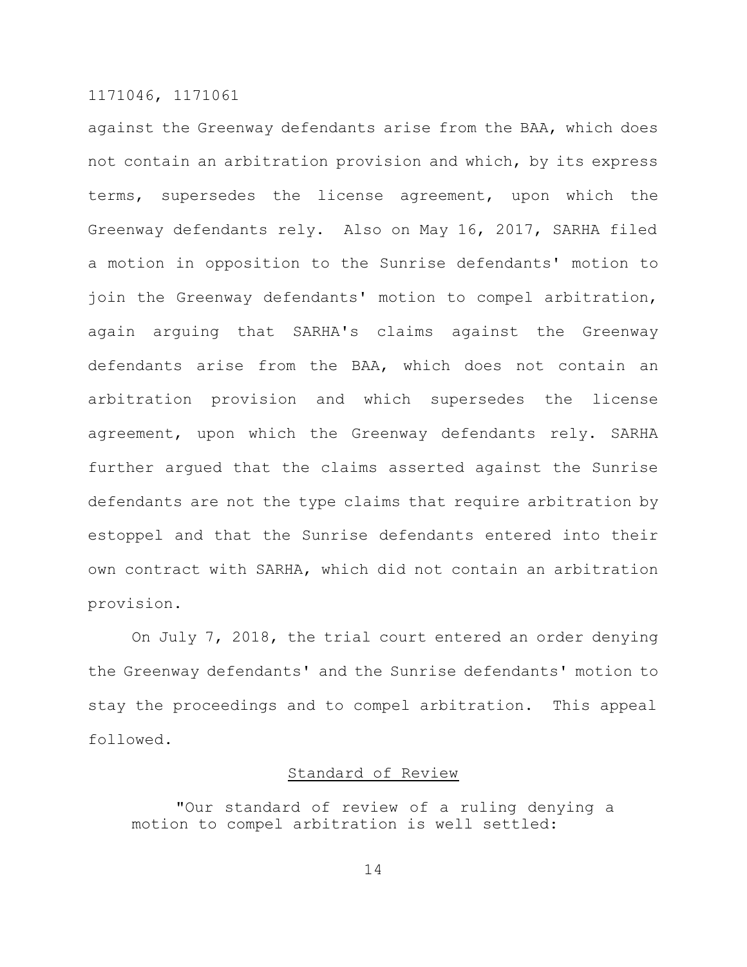against the Greenway defendants arise from the BAA, which does not contain an arbitration provision and which, by its express terms, supersedes the license agreement, upon which the Greenway defendants rely. Also on May 16, 2017, SARHA filed a motion in opposition to the Sunrise defendants' motion to join the Greenway defendants' motion to compel arbitration, again arguing that SARHA's claims against the Greenway defendants arise from the BAA, which does not contain an arbitration provision and which supersedes the license agreement, upon which the Greenway defendants rely. SARHA further argued that the claims asserted against the Sunrise defendants are not the type claims that require arbitration by estoppel and that the Sunrise defendants entered into their own contract with SARHA, which did not contain an arbitration provision.

On July 7, 2018, the trial court entered an order denying the Greenway defendants' and the Sunrise defendants' motion to stay the proceedings and to compel arbitration. This appeal followed.

# Standard of Review

"Our standard of review of a ruling denying a motion to compel arbitration is well settled: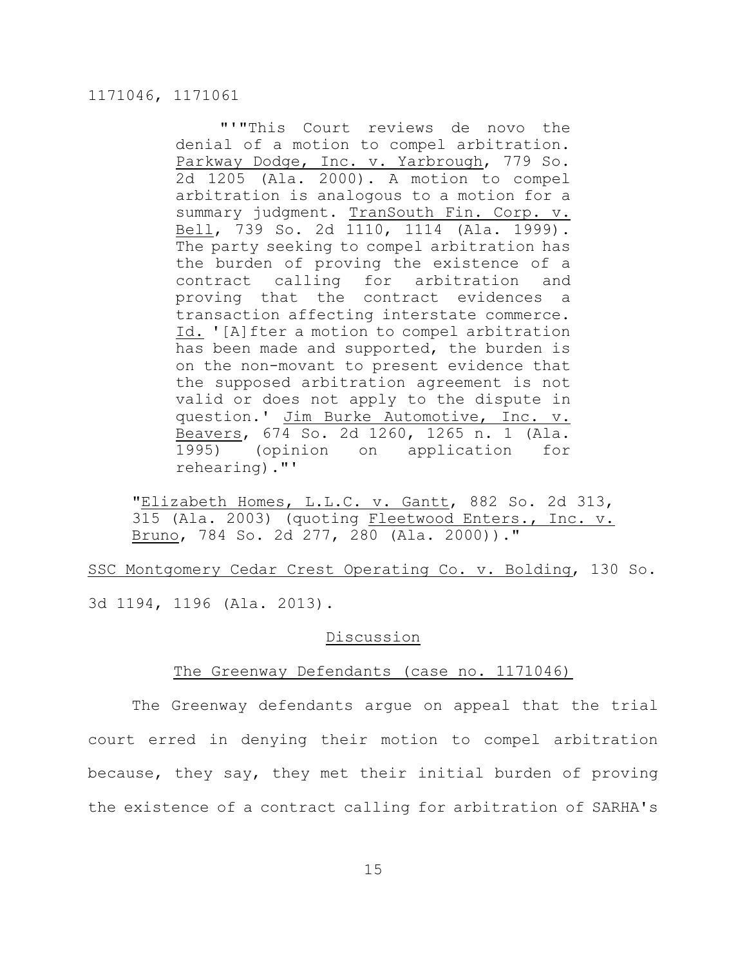"'"This Court reviews de novo the denial of a motion to compel arbitration. Parkway Dodge, Inc. v. Yarbrough, 779 So. 2d 1205 (Ala. 2000). A motion to compel arbitration is analogous to a motion for a summary judgment. TranSouth Fin. Corp. v. Bell, 739 So. 2d 1110, 1114 (Ala. 1999). The party seeking to compel arbitration has the burden of proving the existence of a contract calling for arbitration and proving that the contract evidences a transaction affecting interstate commerce. Id. '[A]fter a motion to compel arbitration has been made and supported, the burden is on the non-movant to present evidence that the supposed arbitration agreement is not valid or does not apply to the dispute in question.' Jim Burke Automotive, Inc. v. Beavers, 674 So. 2d 1260, 1265 n. 1 (Ala. 1995) (opinion on application for rehearing)."'

"Elizabeth Homes, L.L.C. v. Gantt, 882 So. 2d 313, 315 (Ala. 2003) (quoting Fleetwood Enters., Inc. v. Bruno, 784 So. 2d 277, 280 (Ala. 2000))."

SSC Montgomery Cedar Crest Operating Co. v. Bolding, 130 So. 3d 1194, 1196 (Ala. 2013).

# Discussion

#### The Greenway Defendants (case no. 1171046)

The Greenway defendants argue on appeal that the trial court erred in denying their motion to compel arbitration because, they say, they met their initial burden of proving the existence of a contract calling for arbitration of SARHA's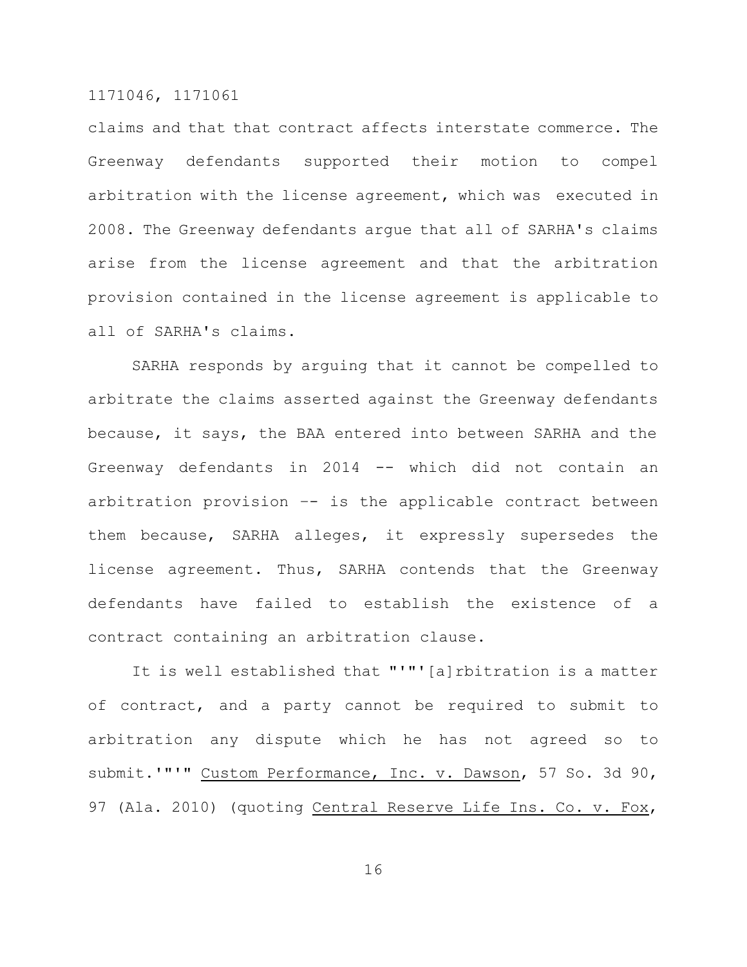claims and that that contract affects interstate commerce. The Greenway defendants supported their motion to compel arbitration with the license agreement, which was executed in 2008. The Greenway defendants argue that all of SARHA's claims arise from the license agreement and that the arbitration provision contained in the license agreement is applicable to all of SARHA's claims.

SARHA responds by arguing that it cannot be compelled to arbitrate the claims asserted against the Greenway defendants because, it says, the BAA entered into between SARHA and the Greenway defendants in 2014 -- which did not contain an arbitration provision –- is the applicable contract between them because, SARHA alleges, it expressly supersedes the license agreement. Thus, SARHA contends that the Greenway defendants have failed to establish the existence of a contract containing an arbitration clause.

It is well established that "'"'[a]rbitration is a matter of contract, and a party cannot be required to submit to arbitration any dispute which he has not agreed so to submit.'"'" Custom Performance, Inc. v. Dawson, 57 So. 3d 90, 97 (Ala. 2010) (quoting Central Reserve Life Ins. Co. v. Fox,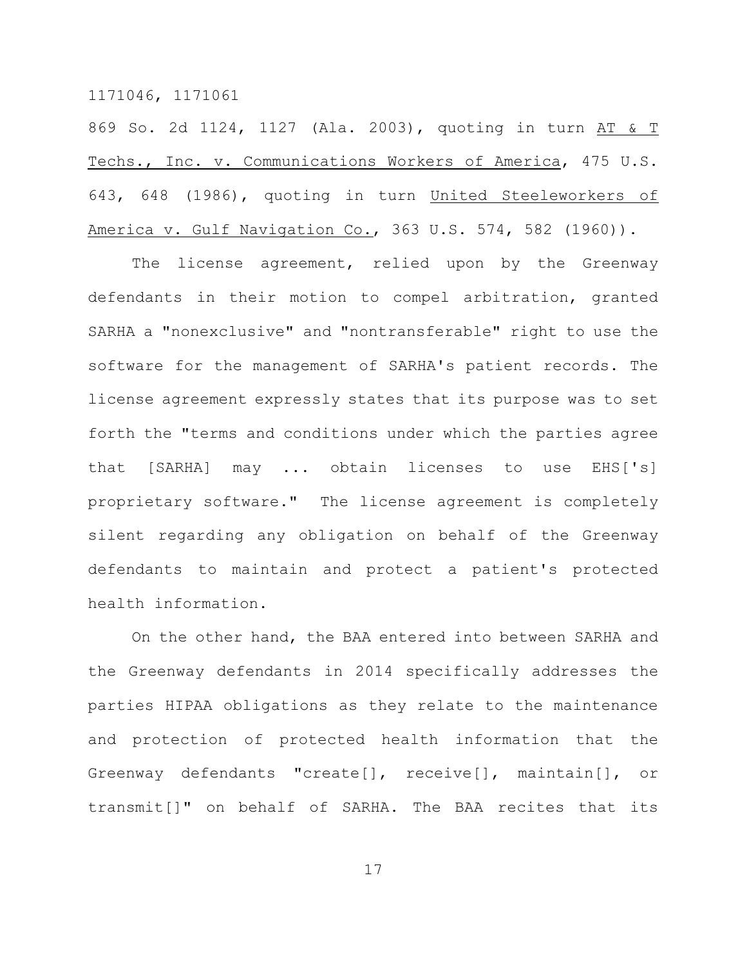869 So. 2d 1124, 1127 (Ala. 2003), quoting in turn AT & T Techs., Inc. v. Communications Workers of America, 475 U.S. 643, 648 (1986), quoting in turn United Steeleworkers of America v. Gulf Navigation Co., 363 U.S. 574, 582 (1960)).

The license agreement, relied upon by the Greenway defendants in their motion to compel arbitration, granted SARHA a "nonexclusive" and "nontransferable" right to use the software for the management of SARHA's patient records. The license agreement expressly states that its purpose was to set forth the "terms and conditions under which the parties agree that [SARHA] may ... obtain licenses to use EHS['s] proprietary software." The license agreement is completely silent regarding any obligation on behalf of the Greenway defendants to maintain and protect a patient's protected health information.

On the other hand, the BAA entered into between SARHA and the Greenway defendants in 2014 specifically addresses the parties HIPAA obligations as they relate to the maintenance and protection of protected health information that the Greenway defendants "create[], receive[], maintain[], or transmit[]" on behalf of SARHA. The BAA recites that its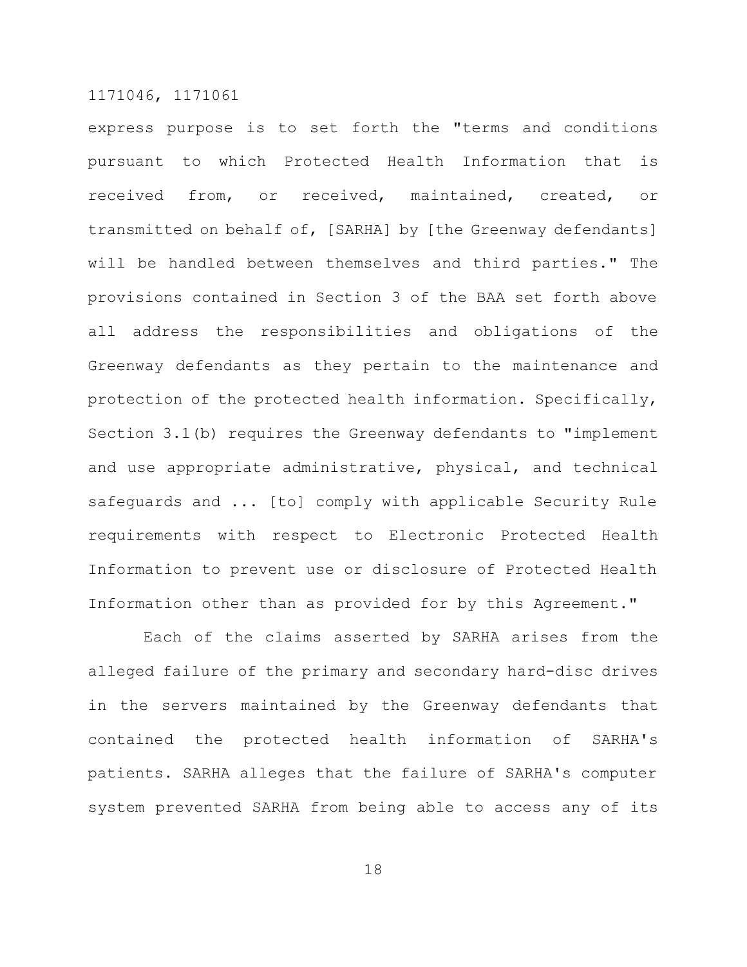express purpose is to set forth the "terms and conditions pursuant to which Protected Health Information that is received from, or received, maintained, created, or transmitted on behalf of, [SARHA] by [the Greenway defendants] will be handled between themselves and third parties." The provisions contained in Section 3 of the BAA set forth above all address the responsibilities and obligations of the Greenway defendants as they pertain to the maintenance and protection of the protected health information. Specifically, Section 3.1(b) requires the Greenway defendants to "implement and use appropriate administrative, physical, and technical safeguards and ... [to] comply with applicable Security Rule requirements with respect to Electronic Protected Health Information to prevent use or disclosure of Protected Health Information other than as provided for by this Agreement."

Each of the claims asserted by SARHA arises from the alleged failure of the primary and secondary hard-disc drives in the servers maintained by the Greenway defendants that contained the protected health information of SARHA's patients. SARHA alleges that the failure of SARHA's computer system prevented SARHA from being able to access any of its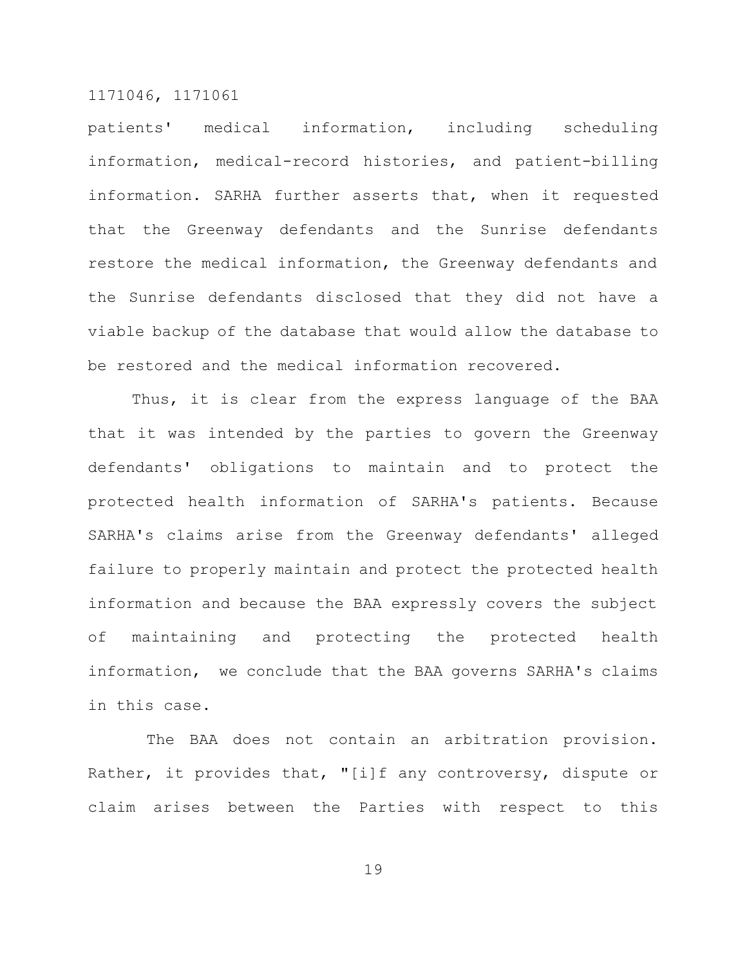patients' medical information, including scheduling information, medical-record histories, and patient-billing information. SARHA further asserts that, when it requested that the Greenway defendants and the Sunrise defendants restore the medical information, the Greenway defendants and the Sunrise defendants disclosed that they did not have a viable backup of the database that would allow the database to be restored and the medical information recovered.

Thus, it is clear from the express language of the BAA that it was intended by the parties to govern the Greenway defendants' obligations to maintain and to protect the protected health information of SARHA's patients. Because SARHA's claims arise from the Greenway defendants' alleged failure to properly maintain and protect the protected health information and because the BAA expressly covers the subject of maintaining and protecting the protected health information, we conclude that the BAA governs SARHA's claims in this case.

The BAA does not contain an arbitration provision. Rather, it provides that, "[i]f any controversy, dispute or claim arises between the Parties with respect to this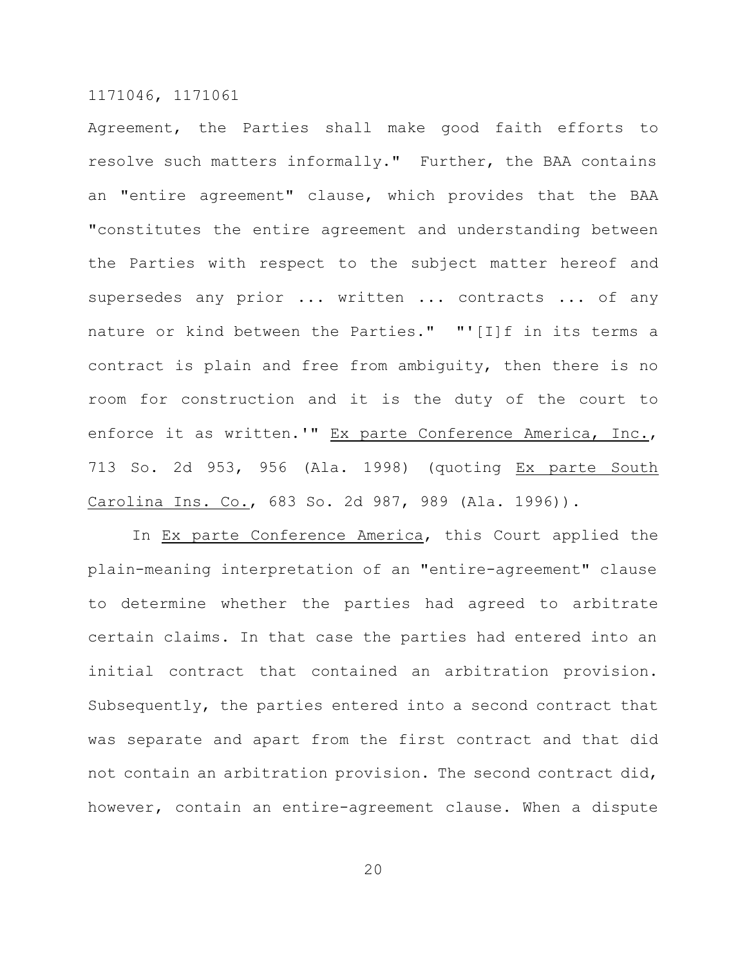Agreement, the Parties shall make good faith efforts to resolve such matters informally." Further, the BAA contains an "entire agreement" clause, which provides that the BAA "constitutes the entire agreement and understanding between the Parties with respect to the subject matter hereof and supersedes any prior ... written ... contracts ... of any nature or kind between the Parties." "'[I]f in its terms a contract is plain and free from ambiguity, then there is no room for construction and it is the duty of the court to enforce it as written.'" Ex parte Conference America, Inc., 713 So. 2d 953, 956 (Ala. 1998) (quoting Ex parte South Carolina Ins. Co., 683 So. 2d 987, 989 (Ala. 1996)).

In Ex parte Conference America, this Court applied the plain-meaning interpretation of an "entire-agreement" clause to determine whether the parties had agreed to arbitrate certain claims. In that case the parties had entered into an initial contract that contained an arbitration provision. Subsequently, the parties entered into a second contract that was separate and apart from the first contract and that did not contain an arbitration provision. The second contract did, however, contain an entire-agreement clause. When a dispute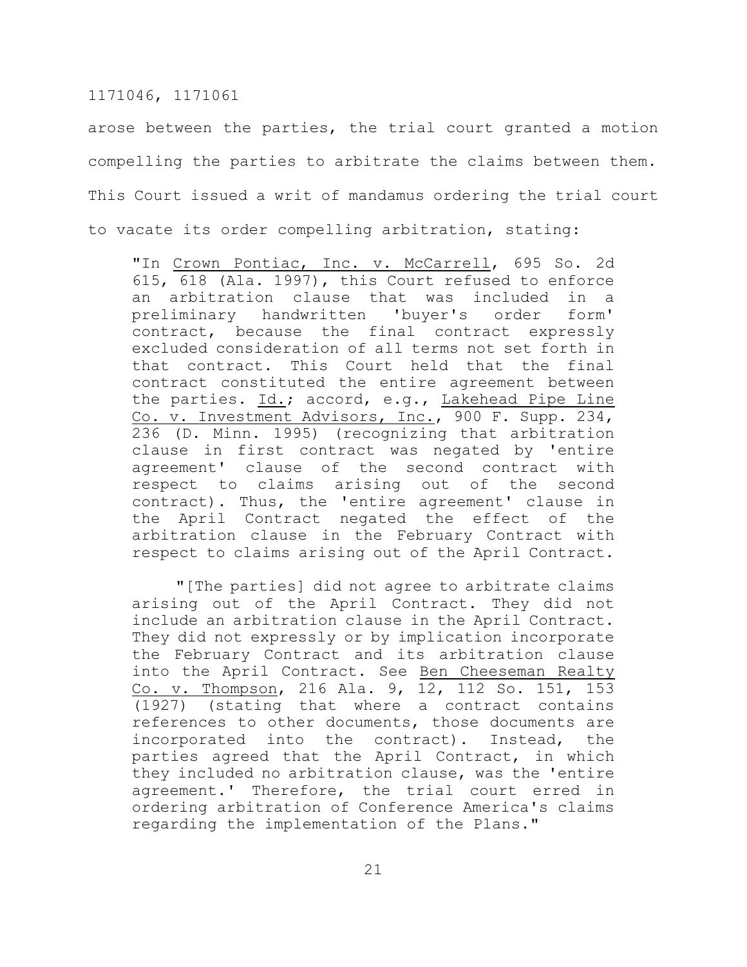arose between the parties, the trial court granted a motion compelling the parties to arbitrate the claims between them. This Court issued a writ of mandamus ordering the trial court to vacate its order compelling arbitration, stating:

"In Crown Pontiac, Inc. v. McCarrell, 695 So. 2d 615, 618 (Ala. 1997), this Court refused to enforce an arbitration clause that was included in a preliminary handwritten 'buyer's order form' contract, because the final contract expressly excluded consideration of all terms not set forth in that contract. This Court held that the final contract constituted the entire agreement between the parties. Id.; accord, e.g., Lakehead Pipe Line Co. v. Investment Advisors, Inc., 900 F. Supp. 234, 236 (D. Minn. 1995) (recognizing that arbitration clause in first contract was negated by 'entire agreement' clause of the second contract with respect to claims arising out of the second contract). Thus, the 'entire agreement' clause in the April Contract negated the effect of the arbitration clause in the February Contract with respect to claims arising out of the April Contract.

"[The parties] did not agree to arbitrate claims arising out of the April Contract. They did not include an arbitration clause in the April Contract. They did not expressly or by implication incorporate the February Contract and its arbitration clause into the April Contract. See Ben Cheeseman Realty Co. v. Thompson, 216 Ala. 9, 12, 112 So. 151, 153 (1927) (stating that where a contract contains references to other documents, those documents are incorporated into the contract). Instead, the parties agreed that the April Contract, in which they included no arbitration clause, was the 'entire agreement.' Therefore, the trial court erred in ordering arbitration of Conference America's claims regarding the implementation of the Plans."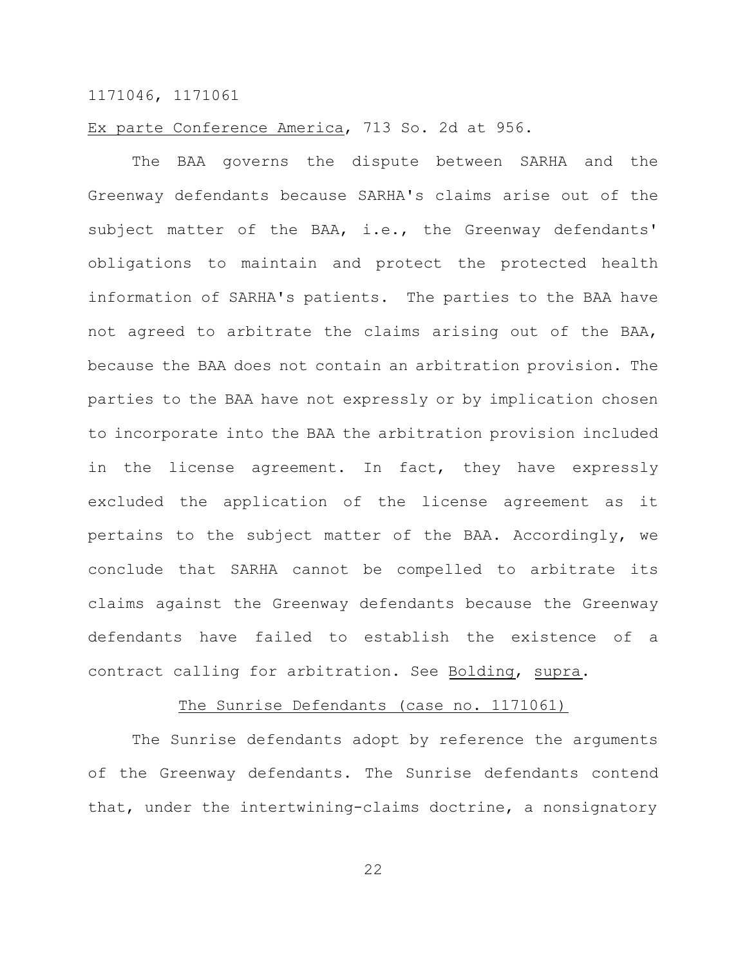# Ex parte Conference America, 713 So. 2d at 956.

The BAA governs the dispute between SARHA and the Greenway defendants because SARHA's claims arise out of the subject matter of the BAA, i.e., the Greenway defendants' obligations to maintain and protect the protected health information of SARHA's patients. The parties to the BAA have not agreed to arbitrate the claims arising out of the BAA, because the BAA does not contain an arbitration provision. The parties to the BAA have not expressly or by implication chosen to incorporate into the BAA the arbitration provision included in the license agreement. In fact, they have expressly excluded the application of the license agreement as it pertains to the subject matter of the BAA. Accordingly, we conclude that SARHA cannot be compelled to arbitrate its claims against the Greenway defendants because the Greenway defendants have failed to establish the existence of a contract calling for arbitration. See Bolding, supra.

#### The Sunrise Defendants (case no. 1171061)

The Sunrise defendants adopt by reference the arguments of the Greenway defendants. The Sunrise defendants contend that, under the intertwining-claims doctrine, a nonsignatory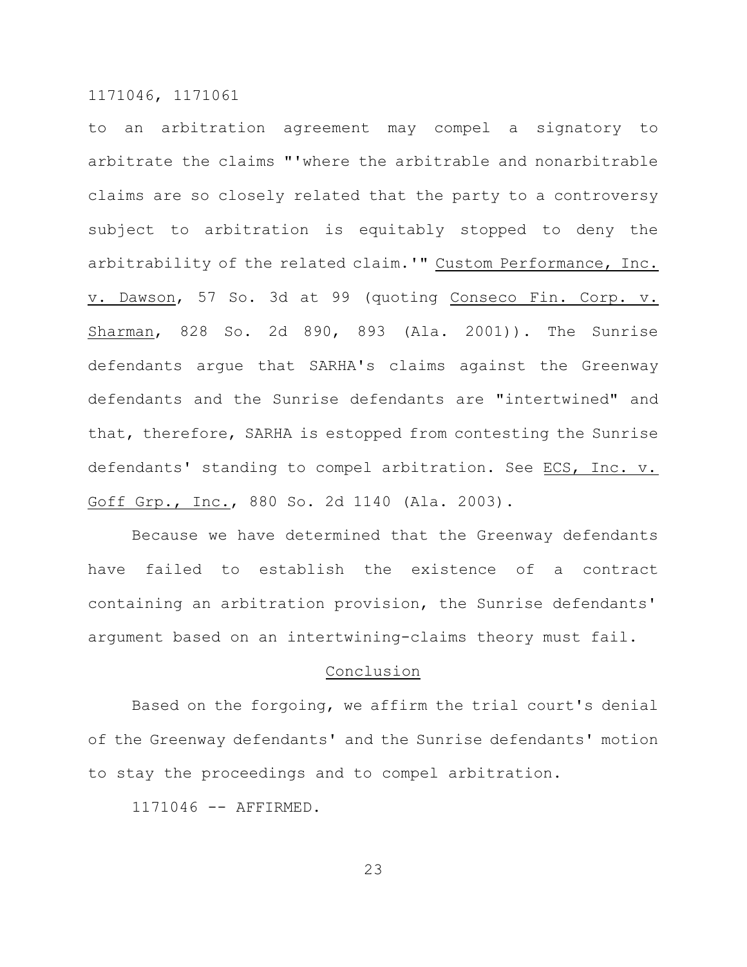to an arbitration agreement may compel a signatory to arbitrate the claims "'where the arbitrable and nonarbitrable claims are so closely related that the party to a controversy subject to arbitration is equitably stopped to deny the arbitrability of the related claim.'" Custom Performance, Inc. v. Dawson, 57 So. 3d at 99 (quoting Conseco Fin. Corp. v. Sharman, 828 So. 2d 890, 893 (Ala. 2001)). The Sunrise defendants argue that SARHA's claims against the Greenway defendants and the Sunrise defendants are "intertwined" and that, therefore, SARHA is estopped from contesting the Sunrise defendants' standing to compel arbitration. See ECS, Inc. v. Goff Grp., Inc., 880 So. 2d 1140 (Ala. 2003).

Because we have determined that the Greenway defendants have failed to establish the existence of a contract containing an arbitration provision, the Sunrise defendants' argument based on an intertwining-claims theory must fail.

# Conclusion

Based on the forgoing, we affirm the trial court's denial of the Greenway defendants' and the Sunrise defendants' motion to stay the proceedings and to compel arbitration.

1171046 -- AFFIRMED.